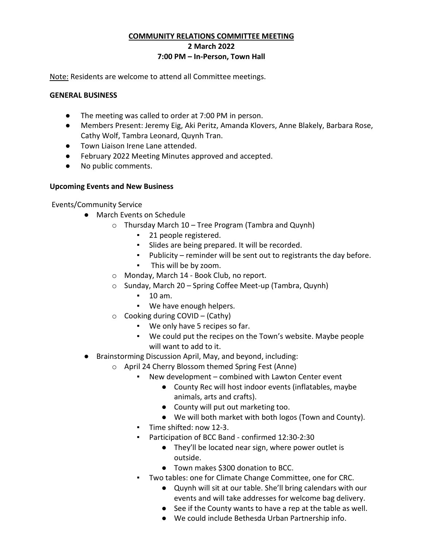## **COMMUNITY RELATIONS COMMITTEE MEETING 2 March 2022 7:00 PM – In-Person, Town Hall**

Note: Residents are welcome to attend all Committee meetings.

### **GENERAL BUSINESS**

- The meeting was called to order at 7:00 PM in person.
- Members Present: Jeremy Eig, Aki Peritz, Amanda Klovers, Anne Blakely, Barbara Rose, Cathy Wolf, Tambra Leonard, Quynh Tran.
- Town Liaison Irene Lane attended.
- February 2022 Meeting Minutes approved and accepted.
- No public comments.

# **Upcoming Events and New Business**

Events/Community Service

- March Events on Schedule
	- o Thursday March 10 Tree Program (Tambra and Quynh)
		- 21 people registered.
		- Slides are being prepared. It will be recorded.
		- Publicity reminder will be sent out to registrants the day before.
		- This will be by zoom.
	- o Monday, March 14 Book Club, no report.
	- o Sunday, March 20 Spring Coffee Meet-up (Tambra, Quynh)
		- 10 am.
		- We have enough helpers.
	- $\circ$  Cooking during COVID (Cathy)
		- We only have 5 recipes so far.
		- We could put the recipes on the Town's website. Maybe people will want to add to it.
- Brainstorming Discussion April, May, and beyond, including:
	- o April 24 Cherry Blossom themed Spring Fest (Anne)
		- New development combined with Lawton Center event
			- County Rec will host indoor events (inflatables, maybe animals, arts and crafts).
			- County will put out marketing too.
			- We will both market with both logos (Town and County).
		- Time shifted: now 12-3.
		- Participation of BCC Band confirmed 12:30-2:30
			- They'll be located near sign, where power outlet is outside.
			- Town makes \$300 donation to BCC.
		- Two tables: one for Climate Change Committee, one for CRC.
			- Quynh will sit at our table. She'll bring calendars with our events and will take addresses for welcome bag delivery.
			- See if the County wants to have a rep at the table as well.
			- We could include Bethesda Urban Partnership info.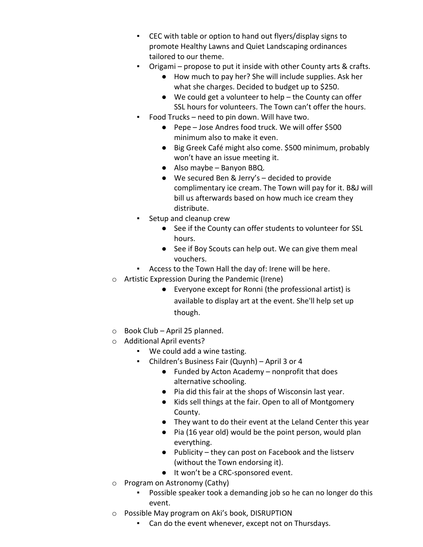- CEC with table or option to hand out flyers/display signs to promote Healthy Lawns and Quiet Landscaping ordinances tailored to our theme.
- Origami propose to put it inside with other County arts & crafts.
	- How much to pay her? She will include supplies. Ask her what she charges. Decided to budget up to \$250.
	- We could get a volunteer to help the County can offer SSL hours for volunteers. The Town can't offer the hours.
- Food Trucks need to pin down. Will have two.
	- Pepe Jose Andres food truck. We will offer \$500 minimum also to make it even.
	- Big Greek Café might also come. \$500 minimum, probably won't have an issue meeting it.
	- Also maybe Banyon BBQ.
	- We secured Ben & Jerry's decided to provide complimentary ice cream. The Town will pay for it. B&J will bill us afterwards based on how much ice cream they distribute.
- Setup and cleanup crew
	- See if the County can offer students to volunteer for SSL hours.
	- See if Boy Scouts can help out. We can give them meal vouchers.
- Access to the Town Hall the day of: Irene will be here.
- o Artistic Expression During the Pandemic (Irene)
	- Everyone except for Ronni (the professional artist) is available to display art at the event. She'll help set up though.
- o Book Club April 25 planned.
- o Additional April events?
	- We could add a wine tasting.
	- Children's Business Fair (Quynh) April 3 or 4
		- Funded by Acton Academy nonprofit that does alternative schooling.
		- Pia did this fair at the shops of Wisconsin last year.
		- Kids sell things at the fair. Open to all of Montgomery County.
		- They want to do their event at the Leland Center this year
		- Pia (16 year old) would be the point person, would plan everything.
		- Publicity they can post on Facebook and the listserv (without the Town endorsing it).
		- It won't be a CRC-sponsored event.
- o Program on Astronomy (Cathy)
	- Possible speaker took a demanding job so he can no longer do this event.
- o Possible May program on Aki's book, DISRUPTION
	- Can do the event whenever, except not on Thursdays.